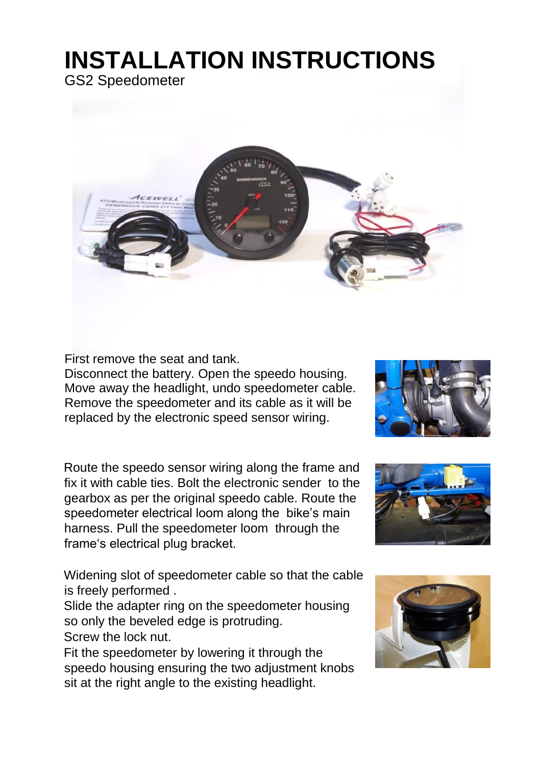## **INSTALLATION INSTRUCTIONS**

GS2 Speedometer



First remove the seat and tank.

Disconnect the battery. Open the speedo housing. Move away the headlight, undo speedometer cable. Remove the speedometer and its cable as it will be replaced by the electronic speed sensor wiring.

Route the speedo sensor wiring along the frame and fix it with cable ties. Bolt the electronic sender to the gearbox as per the original speedo cable. Route the speedometer electrical loom along the bike's main harness. Pull the speedometer loom through the frame's electrical plug bracket.

Widening slot of speedometer cable so that the cable is freely performed .

Slide the adapter ring on the speedometer housing so only the beveled edge is protruding. Screw the lock nut.

Fit the speedometer by lowering it through the speedo housing ensuring the two adjustment knobs sit at the right angle to the existing headlight.